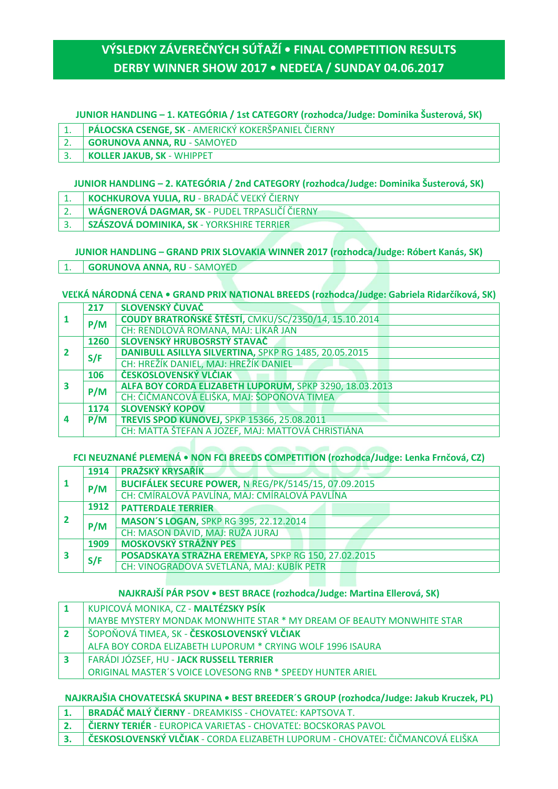# **VÝSLEDKY ZÁVEREČNÝCH SÚŤAŽÍ • FINAL COMPETITION RESULTS DERBY WINNER SHOW 2017 • NEDEĽA / SUNDAY 04.06.2017**

### **JUNIOR HANDLING – 1. KATEGÓRIA / 1st CATEGORY (rozhodca/Judge: Dominika Šusterová, SK)**

- 1. **PÁLOCSKA CSENGE, SK** AMERICKÝ KOKERŠPANIEL ČIERNY
- 2. **GORUNOVA ANNA, RU** SAMOYED 3. **KOLLER JAKUB, SK** - WHIPPET

### **JUNIOR HANDLING – 2. KATEGÓRIA / 2nd CATEGORY (rozhodca/Judge: Dominika Šusterová, SK)**

- 1. **KOCHKUROVA YULIA, RU** BRADÁČ VEĽKÝ ČIERNY
- 2. **WÁGNEROVÁ DAGMAR, SK** PUDEL TRPASLIČÍ ČIERNY
- 3. **SZÁSZOVÁ DOMINIKA, SK** YORKSHIRE TERRIER

### **JUNIOR HANDLING – GRAND PRIX SLOVAKIA WINNER 2017 (rozhodca/Judge: Róbert Kanás, SK)**

1. **GORUNOVA ANNA, RU** - SAMOYED

### **VEĽKÁ NÁRODNÁ CENA • GRAND PRIX NATIONAL BREEDS (rozhodca/Judge: Gabriela Ridarčíková, SK)**

|   | 217  | SLOVENSKÝ ČUVAČ                                         |
|---|------|---------------------------------------------------------|
|   | P/M  | COUDY BRATROŇSKÉ ŠTĚSTÍ, CMKU/SC/2350/14, 15.10.2014    |
|   |      | CH: RENDLOVÁ ROMANA, MAJ: LÍKAŘ JAN                     |
|   | 1260 | SLOVENSKÝ HRUBOSRSTÝ STAVAČ                             |
|   | S/F  | DANIBULL ASILLYA SILVERTINA, SPKP RG 1485, 20.05.2015   |
|   |      | CH: HREŽÍK DANIEL, MAJ: HREŽÍK DANIEL                   |
|   | 106  | ČESKOSLOVENSKÝ VLČIAK                                   |
|   | P/M  | ALFA BOY CORDA ELIZABETH LUPORUM, SPKP 3290, 18.03.2013 |
|   |      | CH: ČIČMANCOVÁ ELIŠKA, MAJ: ŠOPOŇOVÁ TIMEA              |
| 4 | 1174 | <b>SLOVENSKÝ KOPOV</b>                                  |
|   | P/M  | <b>TREVIS SPOD KUNOVEJ, SPKP 15366, 25.08.2011</b>      |
|   |      | CH: MATTA ŠTEFAN A JOZEF, MAJ: MATTOVÁ CHRISTIÁNA       |

### **FCI NEUZNANÉ PLEMENÁ • NON FCI BREEDS COMPETITION (rozhodca/Judge: Lenka Frnčová, CZ)**

|  | 1914 | <b>PRAŽSKÝ KRYSAŘÍK</b>                              |
|--|------|------------------------------------------------------|
|  | P/M  | BUCIFÁLEK SECURE POWER, N REG/PK/5145/15, 07.09.2015 |
|  |      | CH: CMÍRALOVÁ PAVLÍNA, MAJ: CMÍRALOVÁ PAVLÍNA        |
|  | 1912 | <b>PATTERDALE TERRIER</b>                            |
|  | P/M  | <b>MASON'S LOGAN, SPKP RG 395, 22.12.2014</b>        |
|  |      | CH: MASON DAVID, MAJ: RUŽA JURAJ                     |
|  | 1909 | <b>MOSKOVSKÝ STRÁŽNY PES</b>                         |
|  | S/F  | POSADSKAYA STRAZHA EREMEYA, SPKP RG 150, 27.02.2015  |
|  |      | CH: VINOGRADOVA SVETLANA, MAJ: KUBÍK PETR            |

### **NAJKRAJŠÍ PÁR PSOV • BEST BRACE (rozhodca/Judge: Martina Ellerová, SK)**

| KUPICOVÁ MONIKA, CZ - MALTÉZSKY PSÍK                                  |
|-----------------------------------------------------------------------|
| MAYBE MYSTERY MONDAK MONWHITE STAR * MY DREAM OF BEAUTY MONWHITE STAR |
| SOPOŇOVÁ TIMEA, SK - ČESKOSLOVENSKÝ VLČIAK                            |
| ALFA BOY CORDA ELIZABETH LUPORUM * CRYING WOLF 1996 ISAURA            |
| FARÁDI JÓZSEF, HU - <b>JACK RUSSELL TERRIER</b>                       |
| ORIGINAL MASTER'S VOICE LOVESONG RNB * SPEEDY HUNTER ARIEL            |

### **NAJKRAJŠIA CHOVATEĽSKÁ SKUPINA • BEST BREEDER´S GROUP (rozhodca/Judge: Jakub Kruczek, PL)**

- **1. BRADÁČ MALÝ ČIERNY** DREAMKISS CHOVATEĽ: KAPTSOVA T.
- **2. ČIERNY TERIÉR** EUROPICA VARIETAS CHOVATEĽ: BOCSKORAS PAVOL
- **3. ČESKOSLOVENSKÝ VLČIAK** CORDA ELIZABETH LUPORUM CHOVATEĽ: ČIČMANCOVÁ ELIŠKA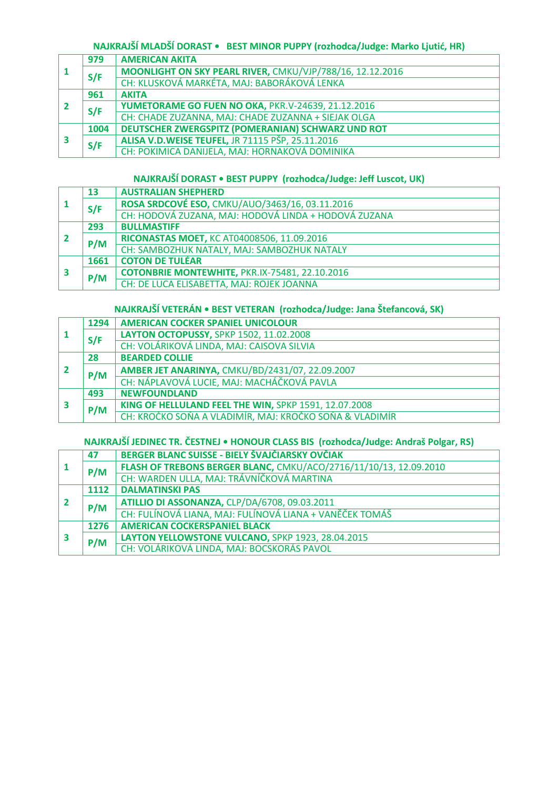# **NAJKRAJŠÍ MLADŠÍ DORAST • BEST MINOR PUPPY (rozhodca/Judge: Marko Ljutić, HR)**

|  | 979  | <b>AMERICAN AKITA</b>                                     |
|--|------|-----------------------------------------------------------|
|  | S/F  | MOONLIGHT ON SKY PEARL RIVER, CMKU/VJP/788/16, 12.12.2016 |
|  |      | CH: KLUSKOVÁ MARKÉTA, MAJ: BABORÁKOVÁ LENKA               |
|  | 961  | <b>AKITA</b>                                              |
|  | S/F  | YUMETORAME GO FUEN NO OKA, PKR.V-24639, 21.12.2016        |
|  |      | CH: CHADE ZUZANNA, MAJ: CHADE ZUZANNA + SIEJAK OLGA       |
|  | 1004 | <b>DEUTSCHER ZWERGSPITZ (POMERANIAN) SCHWARZ UND ROT</b>  |
|  | S/F  | ALISA V.D. WEISE TEUFEL, JR 71115 PŠP, 25.11.2016         |
|  |      | CH: POKIMICA DANIJELA, MAJ: HORNAKOVÁ DOMINIKA            |

### **NAJKRAJŠÍ DORAST • BEST PUPPY (rozhodca/Judge: Jeff Luscot, UK)**

|  | 13   | <b>AUSTRALIAN SHEPHERD</b>                           |
|--|------|------------------------------------------------------|
|  | S/F  | ROSA SRDCOVÉ ESO, CMKU/AUO/3463/16, 03.11.2016       |
|  |      | CH: HODOVÁ ZUZANA, MAJ: HODOVÁ LINDA + HODOVÁ ZUZANA |
|  | 293  | <b>BULLMASTIFF</b>                                   |
|  | P/M  | RICONASTAS MOET, KC AT04008506, 11.09.2016           |
|  |      | CH: SAMBOZHUK NATALY, MAJ: SAMBOZHUK NATALY          |
|  | 1661 | <b>COTON DE TULÉAR</b>                               |
|  | P/M  | COTONBRIE MONTEWHITE, PKR.IX-75481, 22.10.2016       |
|  |      | CH: DE LUCA ELISABETTA, MAJ: ROJEK JOANNA            |

# **NAJKRAJŠÍ VETERÁN • BEST VETERAN (rozhodca/Judge: Jana Štefancová, SK)**

|  | 1294 | <b>AMERICAN COCKER SPANIEL UNICOLOUR</b>                |
|--|------|---------------------------------------------------------|
|  | S/F  | LAYTON OCTOPUSSY, SPKP 1502, 11.02.2008                 |
|  |      | CH: VOLÁRIKOVÁ LINDA, MAJ: CAISOVA SILVIA               |
|  | 28   | <b>BEARDED COLLIE</b>                                   |
|  | P/M  | AMBER JET ANARINYA, CMKU/BD/2431/07, 22.09.2007         |
|  |      | CH: NÁPLAVOVÁ LUCIE, MAJ: MACHÁČKOVÁ PAVLA              |
|  | 493  | <b>NEWFOUNDLAND</b>                                     |
|  | P/M  | KING OF HELLULAND FEEL THE WIN, SPKP 1591, 12.07.2008   |
|  |      | CH: KROČKO SOŇA A VLADIMÍR, MAJ: KROČKO SOŇA & VLADIMÍR |

# **NAJKRAJŠÍ JEDINEC TR. ČESTNEJ • HONOUR CLASS BIS (rozhodca/Judge: Andraš Polgar, RS)**

|  | 47   | BERGER BLANC SUISSE - BIELY ŠVAJČIARSKY OVČIAK                    |
|--|------|-------------------------------------------------------------------|
|  | P/M  | FLASH OF TREBONS BERGER BLANC, CMKU/ACO/2716/11/10/13, 12.09.2010 |
|  |      | CH: WARDEN ULLA, MAJ: TRÁVNÍČKOVÁ MARTINA                         |
|  | 1112 | <b>DALMATINSKI PAS</b>                                            |
|  | P/M  | ATILLIO DI ASSONANZA, CLP/DA/6708, 09.03.2011                     |
|  |      | CH: FULÍNOVÁ LIANA, MAJ: FULÍNOVÁ LIANA + VANĚČEK TOMÁŠ           |
|  | 1276 | <b>AMERICAN COCKERSPANIEL BLACK</b>                               |
|  | P/M  | LAYTON YELLOWSTONE VULCANO, SPKP 1923, 28.04.2015                 |
|  |      | CH: VOLÁRIKOVÁ LINDA, MAJ: BOCSKORÁS PAVOL                        |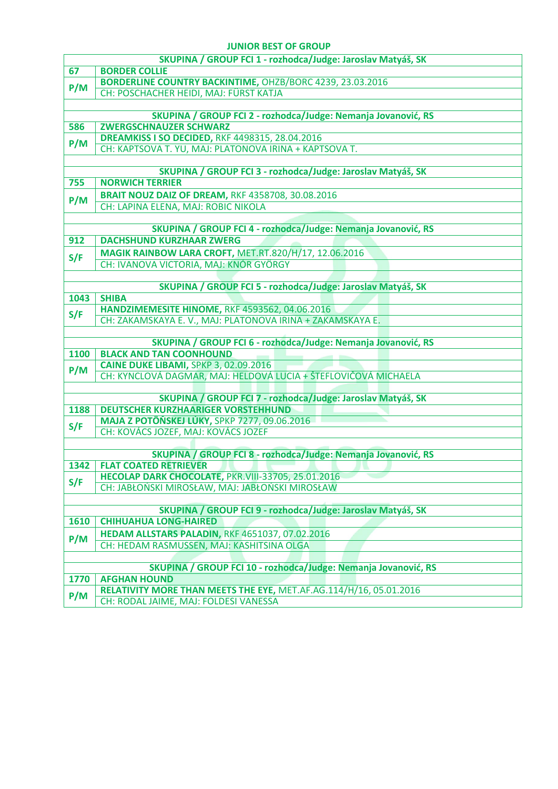#### **JUNIOR BEST OF GROUP**

|                                                                | SKUPINA / GROUP FCI 1 - rozhodca/Judge: Jaroslav Matyáš, SK                                              |  |  |  |
|----------------------------------------------------------------|----------------------------------------------------------------------------------------------------------|--|--|--|
| 67                                                             | <b>BORDER COLLIE</b>                                                                                     |  |  |  |
| P/M                                                            | <b>BORDERLINE COUNTRY BACKINTIME, OHZB/BORC 4239, 23.03.2016</b>                                         |  |  |  |
|                                                                | CH: POSCHACHER HEIDI, MAJ: FÜRST KATJA                                                                   |  |  |  |
|                                                                |                                                                                                          |  |  |  |
|                                                                | SKUPINA / GROUP FCI 2 - rozhodca/Judge: Nemanja Jovanović, RS                                            |  |  |  |
| 586                                                            | <b>ZWERGSCHNAUZER SCHWARZ</b>                                                                            |  |  |  |
| P/M                                                            | <b>DREAMKISS I SO DECIDED, RKF 4498315, 28.04.2016</b>                                                   |  |  |  |
|                                                                | CH: KAPTSOVA T. YU, MAJ: PLATONOVA IRINA + KAPTSOVA T.                                                   |  |  |  |
|                                                                |                                                                                                          |  |  |  |
|                                                                | SKUPINA / GROUP FCI 3 - rozhodca/Judge: Jaroslav Matyáš, SK                                              |  |  |  |
| 755                                                            | <b>NORWICH TERRIER</b>                                                                                   |  |  |  |
| P/M                                                            | <b>BRAIT NOUZ DAIZ OF DREAM, RKF 4358708, 30.08.2016</b>                                                 |  |  |  |
|                                                                | CH: LAPINA ELENA, MAJ: ROBIC NIKOLA                                                                      |  |  |  |
|                                                                |                                                                                                          |  |  |  |
|                                                                | SKUPINA / GROUP FCI 4 - rozhodca/Judge: Nemanja Jovanović, RS                                            |  |  |  |
| 912                                                            | <b>DACHSHUND KURZHAAR ZWERG</b>                                                                          |  |  |  |
| S/F                                                            | <b>MAGIK RAINBOW LARA CROFT, MET.RT.820/H/17, 12.06.2016</b>                                             |  |  |  |
|                                                                | CH: IVANOVA VICTORIA, MAJ: KNÓR GYÖRGY                                                                   |  |  |  |
|                                                                |                                                                                                          |  |  |  |
|                                                                | SKUPINA / GROUP FCI 5 - rozhodca/Judge: Jaroslav Matyáš, SK                                              |  |  |  |
| 1043                                                           | <b>SHIBA</b>                                                                                             |  |  |  |
| S/F                                                            | HANDZIMEMESITE HINOME, RKF 4593562, 04.06.2016                                                           |  |  |  |
|                                                                | CH: ZAKAMSKAYA E. V., MAJ: PLATONOVA IRINA + ZAKAMSKAYA E.                                               |  |  |  |
|                                                                |                                                                                                          |  |  |  |
|                                                                | SKUPINA / GROUP FCI 6 - rozhodca/Judge: Nemanja Jovanović, RS                                            |  |  |  |
| <b>1100</b>                                                    | <b>BLACK AND TAN COONHOUND</b>                                                                           |  |  |  |
| P/M                                                            | CAINE DUKE LIBAMI, SPKP 3, 02.09.2016                                                                    |  |  |  |
|                                                                | CH: KYNCLOVÁ DAGMAR, MAJ: HELDOVÁ LUCIA + ŠTEFLOVIČOVÁ MICHAELA                                          |  |  |  |
|                                                                |                                                                                                          |  |  |  |
|                                                                | SKUPINA / GROUP FCI 7 - rozhodca/Judge: Jaroslav Matyáš, SK<br><b>DEUTSCHER KURZHAARIGER VORSTEHHUND</b> |  |  |  |
| 1188                                                           |                                                                                                          |  |  |  |
| S/F                                                            | <b>MAJA Z POTÔŇSKEJ LÚKY, SPKP 7277, 09.06.2016</b>                                                      |  |  |  |
|                                                                | CH: KOVÁCS JOZEF, MAJ: KOVÁCS JOZEF                                                                      |  |  |  |
|                                                                | SKUPINA / GROUP FCI 8 - rozhodca/Judge: Nemanja Jovanović, RS                                            |  |  |  |
| 1342                                                           | <b>FLAT COATED RETRIEVER</b>                                                                             |  |  |  |
|                                                                | HECOLAP DARK CHOCOLATE, PKR.VIII-33705, 25.01.2016                                                       |  |  |  |
| S/F                                                            | CH: JABŁOŃSKI MIROSŁAW, MAJ: JABŁOŃSKI MIROSŁAW                                                          |  |  |  |
|                                                                |                                                                                                          |  |  |  |
|                                                                | SKUPINA / GROUP FCI 9 - rozhodca/Judge: Jaroslav Matyáš, SK                                              |  |  |  |
| 1610                                                           | <b>CHIHUAHUA LONG-HAIRED</b>                                                                             |  |  |  |
|                                                                | <b>HEDAM ALLSTARS PALADIN, RKF 4651037, 07.02.2016</b>                                                   |  |  |  |
| P/M                                                            | CH: HEDAM RASMUSSEN, MAJ: KASHITSINA OLGA                                                                |  |  |  |
|                                                                |                                                                                                          |  |  |  |
| SKUPINA / GROUP FCI 10 - rozhodca/Judge: Nemanja Jovanović, RS |                                                                                                          |  |  |  |
| 1770                                                           | <b>AFGHAN HOUND</b>                                                                                      |  |  |  |
|                                                                | RELATIVITY MORE THAN MEETS THE EYE, MET.AF.AG.114/H/16, 05.01.2016                                       |  |  |  |
| P/M                                                            | CH: RODAL JAIME, MAJ: FOLDESI VANESSA                                                                    |  |  |  |
|                                                                |                                                                                                          |  |  |  |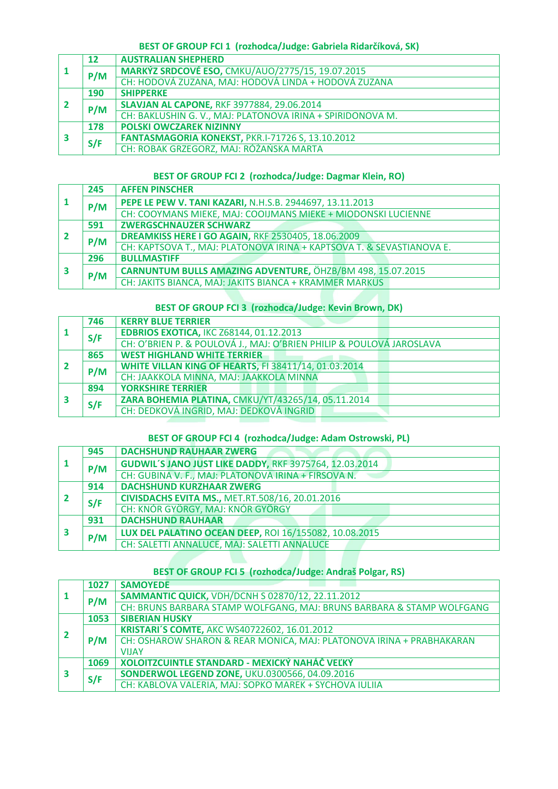### **BEST OF GROUP FCI 1 (rozhodca/Judge: Gabriela Ridarčíková, SK)**

|  | 12  | <b>AUSTRALIAN SHEPHERD</b>                                 |
|--|-----|------------------------------------------------------------|
|  | P/M | <b>MARKÝZ SRDCOVÉ ESO, CMKU/AUO/2775/15, 19.07.2015</b>    |
|  |     | CH: HODOVÁ ZUZANA, MAJ: HODOVÁ LINDA + HODOVÁ ZUZANA       |
|  | 190 | <b>SHIPPERKE</b>                                           |
|  | P/M | <b>SLAVJAN AL CAPONE, RKF 3977884, 29.06.2014</b>          |
|  |     | CH: BAKLUSHIN G. V., MAJ: PLATONOVA IRINA + SPIRIDONOVA M. |
|  | 178 | <b>POLSKI OWCZAREK NIZINNY</b>                             |
|  | S/F | FANTASMAGORIA KONEKST, PKR.I-71726 S, 13.10.2012           |
|  |     | CH: ROBAK GRZEGORZ, MAJ: RÓŻAŃSKA MARTA                    |

### **BEST OF GROUP FCI 2 (rozhodca/Judge: Dagmar Klein, RO)**

|   | 245 | <b>AFFEN PINSCHER</b>                                                 |
|---|-----|-----------------------------------------------------------------------|
|   | P/M | PEPE LE PEW V. TANI KAZARI, N.H.S.B. 2944697, 13.11.2013              |
|   |     | CH: COOYMANS MIEKE, MAJ: COOIJMANS MIEKE + MIODONSKI LUCIENNE         |
|   | 591 | <b>ZWERGSCHNAUZER SCHWARZ</b>                                         |
|   | P/M | <b>DREAMKISS HERE I GO AGAIN, RKF 2530405, 18.06.2009</b>             |
|   |     | CH: KAPTSOVA T., MAJ: PLATONOVA IRINA + KAPTSOVA T. & SEVASTIANOVA E. |
| 3 | 296 | <b>BULLMASTIFF</b>                                                    |
|   | P/M | CARNUNTUM BULLS AMAZING ADVENTURE, ÖHZB/BM 498, 15.07.2015            |
|   |     | CH: JAKITS BIANCA, MAJ: JAKITS BIANCA + KRAMMER MARKUS                |

# **BEST OF GROUP FCI 3 (rozhodca/Judge: Kevin Brown, DK)**

|  | 746 | <b>KERRY BLUE TERRIER</b>                                            |
|--|-----|----------------------------------------------------------------------|
|  | S/F | <b>EDBRIOS EXOTICA, IKC Z68144, 01.12.2013</b>                       |
|  |     | CH: O'BRIEN P. & POULOVÁ J., MAJ: O'BRIEN PHILIP & POULOVÁ JAROSLAVA |
|  | 865 | <b>WEST HIGHLAND WHITE TERRIER</b>                                   |
|  | P/M | <b>WHITE VILLAN KING OF HEARTS, FI 38411/14, 01.03.2014</b>          |
|  |     | CH: JAAKKOLA MINNA, MAJ: JAAKKOLA MINNA                              |
|  | 894 | <b>YORKSHIRE TERRIER</b>                                             |
|  | S/F | ZARA BOHEMIA PLATINA, CMKU/YT/43265/14, 05.11.2014                   |
|  |     | CH: DEDKOVÁ INGRID, MAJ: DEDKOVÁ INGRID                              |

### **BEST OF GROUP FCI 4 (rozhodca/Judge: Adam Ostrowski, PL)**

|  | 945 | <b>DACHSHUND RAUHAAR ZWERG</b>                         |
|--|-----|--------------------------------------------------------|
|  | P/M | GUDWIL'S JANO JUST LIKE DADDY, RKF 3975764, 12.03.2014 |
|  |     | CH: GUBINA V. F., MAJ: PLATONOVA IRINA + FIRSOVA N.    |
|  | 914 | <b>DACHSHUND KURZHAAR ZWERG</b>                        |
|  | S/F | <b>CIVISDACHS EVITA MS., MET.RT.508/16, 20.01.2016</b> |
|  |     | CH: KNÓR GYÖRGY, MAJ: KNÓR GYÖRGY                      |
|  | 931 | <b>DACHSHUND RAUHAAR</b>                               |
|  | P/M | LUX DEL PALATINO OCEAN DEEP, ROI 16/155082, 10.08.2015 |
|  |     | CH: SALETTI ANNALUCE, MAJ: SALETTI ANNALUCE            |

# **BEST OF GROUP FCI 5 (rozhodca/Judge: Andraš Polgar, RS)**

|    | 1027 | <b>SAMOYEDE</b>                                                       |  |  |  |  |  |
|----|------|-----------------------------------------------------------------------|--|--|--|--|--|
|    | P/M  | <b>SAMMANTIC QUICK, VDH/DCNH S 02870/12, 22.11.2012</b>               |  |  |  |  |  |
|    |      | CH: BRUNS BARBARA STAMP WOLFGANG, MAJ: BRUNS BARBARA & STAMP WOLFGANG |  |  |  |  |  |
|    | 1053 | <b>SIBERIAN HUSKY</b>                                                 |  |  |  |  |  |
| -2 | P/M  | KRISTARI'S COMTE, AKC WS40722602, 16.01.2012                          |  |  |  |  |  |
|    |      | CH: OSHAROW SHARON & REAR MONICA, MAJ: PLATONOVA IRINA + PRABHAKARAN  |  |  |  |  |  |
|    |      | <b>VIIAY</b>                                                          |  |  |  |  |  |
|    | 1069 | <b>XOLOITZCUINTLE STANDARD - MEXICKÝ NAHÁČ VEĽKÝ</b>                  |  |  |  |  |  |
|    | S/F  | <b>SONDERWOL LEGEND ZONE, UKU.0300566, 04.09.2016</b>                 |  |  |  |  |  |
|    |      | CH: KABLOVA VALERIA, MAJ: SOPKO MAREK + SYCHOVA IULIIA                |  |  |  |  |  |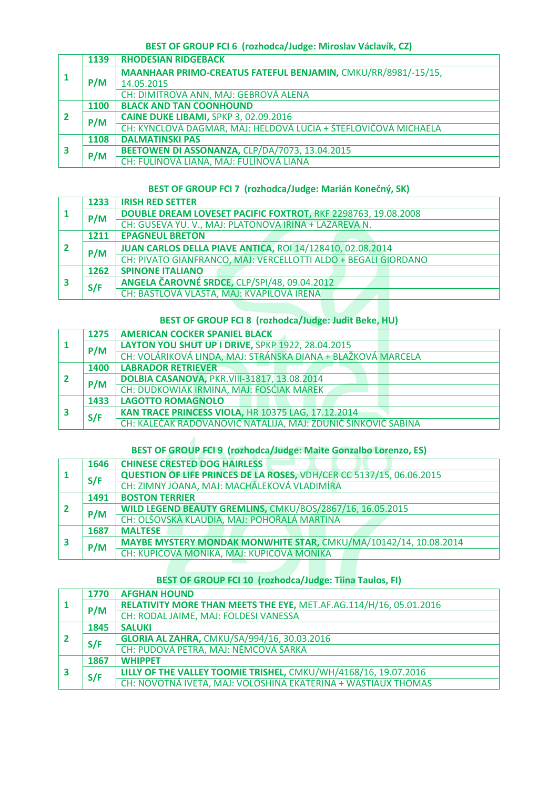### **BEST OF GROUP FCI 6 (rozhodca/Judge: Miroslav Václavík, CZ)**

|              | 1139 | <b>RHODESIAN RIDGEBACK</b>                                      |
|--------------|------|-----------------------------------------------------------------|
|              |      | MAANHAAR PRIMO-CREATUS FATEFUL BENJAMIN, CMKU/RR/8981/-15/15,   |
|              | P/M  | 14.05.2015                                                      |
|              |      | CH: DIMITROVA ANN, MAJ: GEBROVÁ ALENA                           |
|              | 1100 | <b>BLACK AND TAN COONHOUND</b>                                  |
| $\mathbf{2}$ | P/M  | CAINE DUKE LIBAMI, SPKP 3, 02.09.2016                           |
|              |      | CH: KYNCLOVÁ DAGMAR, MAJ: HELDOVÁ LUCIA + ŠTEFLOVIČOVÁ MICHAELA |
|              | 1108 | <b>DALMATINSKI PAS</b>                                          |
| 3            | P/M  | BEETOWEN DI ASSONANZA, CLP/DA/7073, 13.04.2015                  |
|              |      | CH: FULÍNOVÁ LIANA, MAJ: FULÍNOVÁ LIANA                         |

#### **BEST OF GROUP FCI 7 (rozhodca/Judge: Marián Konečný, SK)**

|  | 1233 | <b>IRISH RED SETTER</b>                                          |
|--|------|------------------------------------------------------------------|
|  | P/M  | DOUBLE DREAM LOVESET PACIFIC FOXTROT, RKF 2298763, 19.08.2008    |
|  |      | CH: GUSEVA YU. V., MAJ: PLATONOVA IRINA + LAZAREVA N.            |
|  | 1211 | <b>EPAGNEUL BRETON</b>                                           |
|  | P/M  | <b>JUAN CARLOS DELLA PIAVE ANTICA, ROI 14/128410, 02.08.2014</b> |
|  |      | CH: PIVATO GIANFRANCO, MAJ: VERCELLOTTI ALDO + BEGALI GIORDANO   |
|  | 1262 | <b>SPINONE ITALIANO</b>                                          |
|  | S/F  | ANGELA ČAROVNÉ SRDCE, CLP/SPI/48, 09.04.2012                     |
|  |      | CH: BASTLOVÁ VLASTA, MAJ: KVAPILOVÁ IRENA                        |

### **BEST OF GROUP FCI 8 (rozhodca/Judge: Judit Beke, HU)**

|  | 1275 | <b>AMERICAN COCKER SPANIEL BLACK</b>                          |
|--|------|---------------------------------------------------------------|
|  | P/M  | LAYTON YOU SHUT UP I DRIVE, SPKP 1922, 28.04.2015             |
|  |      | CH: VOLÁRIKOVÁ LINDA, MAJ: STRÁNSKA DIANA + BLAŽKOVÁ MARCELA  |
|  | 1400 | <b>LABRADOR RETRIEVER</b>                                     |
|  | P/M  | <b>DOLBIA CASANOVA, PKR.VIII-31817, 13.08.2014</b>            |
|  |      | CH: DUDKOWIAK IRMINA, MAJ: FOSĆIAK MAREK                      |
|  | 1433 | <b>LAGOTTO ROMAGNOLO</b>                                      |
|  | S/F  | KAN TRACE PRINCESS VIOLA, HR 10375 LAG, 17.12.2014            |
|  |      | CH: KALEČAK RADOVANOVIĆ NATALIJA, MAJ: ZDUNIĆ ŠINKOVIĆ SABINA |

# **BEST OF GROUP FCI 9 (rozhodca/Judge: Maite Gonzalbo Lorenzo, ES)**

|  | 1646 | <b>CHINESE CRESTED DOG HAIRLESS</b>                                  |  |  |  |  |  |
|--|------|----------------------------------------------------------------------|--|--|--|--|--|
|  | S/F  | QUESTION OF LIFE PRINCES DE LA ROSES, VDH/CER CC 5137/15, 06.06.2015 |  |  |  |  |  |
|  |      | CH: ZIMNY JOANA, MAJ: MACHÁLEKOVÁ VLADIMÍRA                          |  |  |  |  |  |
|  | 1491 | <b>BOSTON TERRIER</b>                                                |  |  |  |  |  |
|  | P/M  | WILD LEGEND BEAUTY GREMLINS, CMKU/BOS/2867/16, 16.05.2015            |  |  |  |  |  |
|  |      | CH: OLŠOVSKÁ KLAUDIA, MAJ: POHOŘALÁ MARTINA                          |  |  |  |  |  |
|  | 1687 | <b>MALTESE</b>                                                       |  |  |  |  |  |
|  | P/M  | MAYBE MYSTERY MONDAK MONWHITE STAR, CMKU/MA/10142/14, 10.08.2014     |  |  |  |  |  |
|  |      | CH: KUPICOVÁ MONIKA, MAJ: KUPICOVÁ MONIKA                            |  |  |  |  |  |

### **BEST OF GROUP FCI 10 (rozhodca/Judge: Tiina Taulos, FI)**

|  | 1770 | <b>AFGHAN HOUND</b>                                                |  |  |  |  |  |
|--|------|--------------------------------------------------------------------|--|--|--|--|--|
|  | P/M  | RELATIVITY MORE THAN MEETS THE EYE, MET.AF.AG.114/H/16, 05.01.2016 |  |  |  |  |  |
|  |      | CH: RODAL JAIME, MAJ: FOLDESI VANESSA                              |  |  |  |  |  |
|  | 1845 | <b>SALUKI</b>                                                      |  |  |  |  |  |
|  | S/F  | <b>GLORIA AL ZAHRA, CMKU/SA/994/16, 30.03.2016</b>                 |  |  |  |  |  |
|  |      | CH: PUDOVÁ PETRA, MAJ: NĚMCOVÁ ŠÁRKA                               |  |  |  |  |  |
|  | 1867 | <b>WHIPPET</b>                                                     |  |  |  |  |  |
|  | S/F  | LILLY OF THE VALLEY TOOMIE TRISHEL, CMKU/WH/4168/16, 19.07.2016    |  |  |  |  |  |
|  |      | CH: NOVOTNÁ IVETA, MAJ: VOLOSHINA EKATERINA + WASTIAUX THOMAS      |  |  |  |  |  |